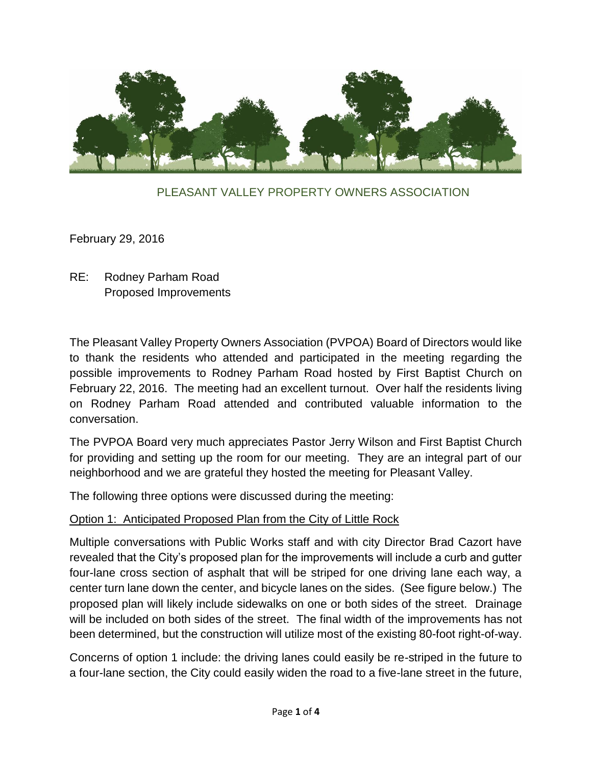

#### PLEASANT VALLEY PROPERTY OWNERS ASSOCIATION

February 29, 2016

## RE: Rodney Parham Road Proposed Improvements

The Pleasant Valley Property Owners Association (PVPOA) Board of Directors would like to thank the residents who attended and participated in the meeting regarding the possible improvements to Rodney Parham Road hosted by First Baptist Church on February 22, 2016. The meeting had an excellent turnout. Over half the residents living on Rodney Parham Road attended and contributed valuable information to the conversation.

The PVPOA Board very much appreciates Pastor Jerry Wilson and First Baptist Church for providing and setting up the room for our meeting. They are an integral part of our neighborhood and we are grateful they hosted the meeting for Pleasant Valley.

The following three options were discussed during the meeting:

#### Option 1: Anticipated Proposed Plan from the City of Little Rock

Multiple conversations with Public Works staff and with city Director Brad Cazort have revealed that the City's proposed plan for the improvements will include a curb and gutter four-lane cross section of asphalt that will be striped for one driving lane each way, a center turn lane down the center, and bicycle lanes on the sides. (See figure below.) The proposed plan will likely include sidewalks on one or both sides of the street. Drainage will be included on both sides of the street. The final width of the improvements has not been determined, but the construction will utilize most of the existing 80-foot right-of-way.

Concerns of option 1 include: the driving lanes could easily be re-striped in the future to a four-lane section, the City could easily widen the road to a five-lane street in the future,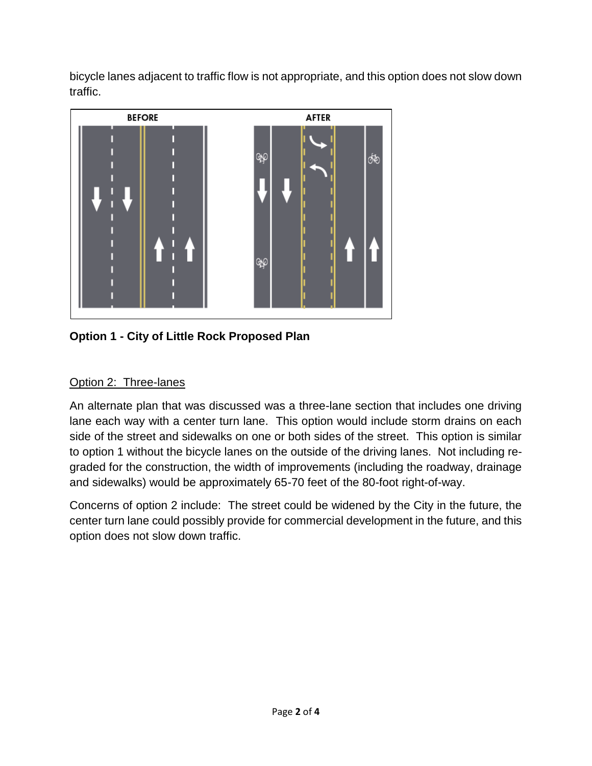bicycle lanes adjacent to traffic flow is not appropriate, and this option does not slow down traffic.



**Option 1 - City of Little Rock Proposed Plan**

# Option 2: Three-lanes

An alternate plan that was discussed was a three-lane section that includes one driving lane each way with a center turn lane. This option would include storm drains on each side of the street and sidewalks on one or both sides of the street. This option is similar to option 1 without the bicycle lanes on the outside of the driving lanes. Not including regraded for the construction, the width of improvements (including the roadway, drainage and sidewalks) would be approximately 65-70 feet of the 80-foot right-of-way.

Concerns of option 2 include: The street could be widened by the City in the future, the center turn lane could possibly provide for commercial development in the future, and this option does not slow down traffic.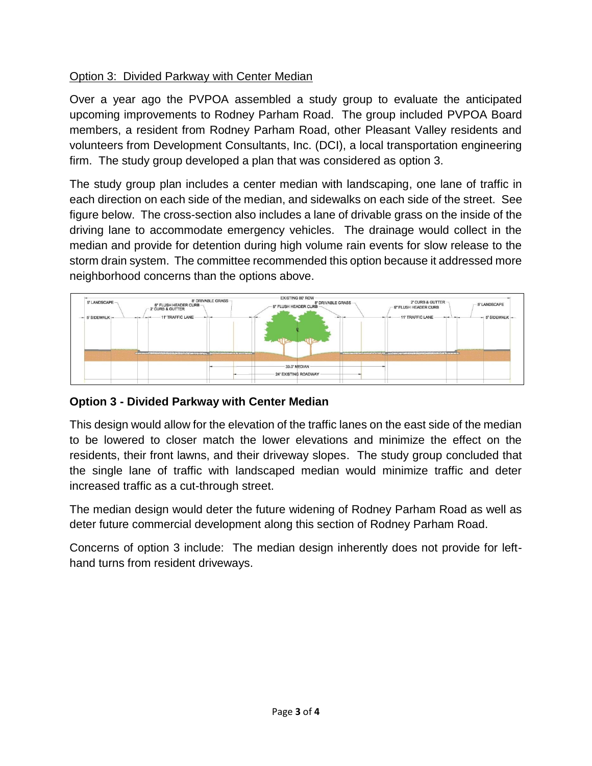## Option 3: Divided Parkway with Center Median

Over a year ago the PVPOA assembled a study group to evaluate the anticipated upcoming improvements to Rodney Parham Road. The group included PVPOA Board members, a resident from Rodney Parham Road, other Pleasant Valley residents and volunteers from Development Consultants, Inc. (DCI), a local transportation engineering firm. The study group developed a plan that was considered as option 3.

The study group plan includes a center median with landscaping, one lane of traffic in each direction on each side of the median, and sidewalks on each side of the street. See figure below. The cross-section also includes a lane of drivable grass on the inside of the driving lane to accommodate emergency vehicles. The drainage would collect in the median and provide for detention during high volume rain events for slow release to the storm drain system. The committee recommended this option because it addressed more neighborhood concerns than the options above.



## **Option 3 - Divided Parkway with Center Median**

This design would allow for the elevation of the traffic lanes on the east side of the median to be lowered to closer match the lower elevations and minimize the effect on the residents, their front lawns, and their driveway slopes. The study group concluded that the single lane of traffic with landscaped median would minimize traffic and deter increased traffic as a cut-through street.

The median design would deter the future widening of Rodney Parham Road as well as deter future commercial development along this section of Rodney Parham Road.

Concerns of option 3 include: The median design inherently does not provide for lefthand turns from resident driveways.